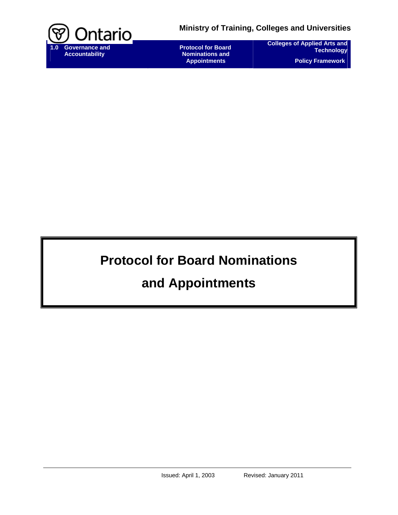

 **Protocol for Board Nominations and Appointments** 

**Colleges of Applied Arts and Technology Policy Framework** 

# **Protocol for Board Nominations**

## **and Appointments**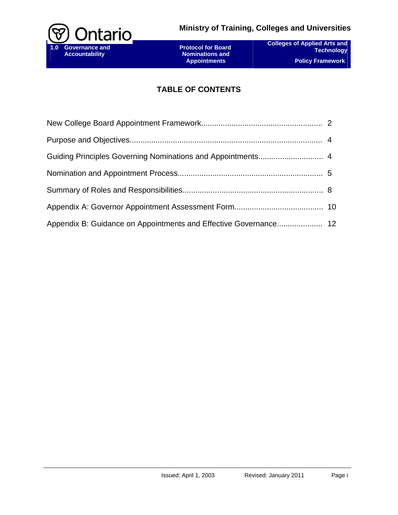

## **TABLE OF CONTENTS**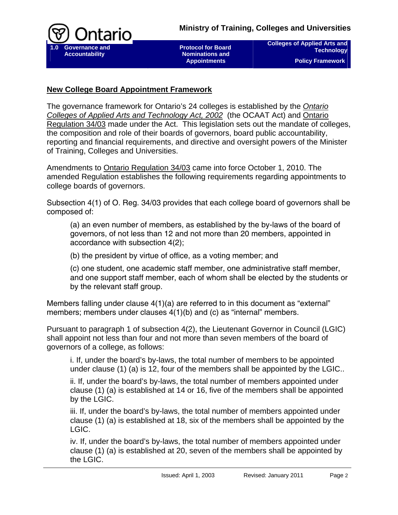

**Colleges of Applied Arts and Technology Policy Framework** 

## **New College Board Appointment Framework**

The governance framework for Ontario's 24 colleges is established by the *[Ontario](http://www.e-laws.gov.on.ca/html/statutes/english/elaws_statutes_02o08f_e.htm)  [Colleges of Applied Arts and Technology Act, 2002](http://www.e-laws.gov.on.ca/html/statutes/english/elaws_statutes_02o08f_e.htm)* (the OCAAT Act) and [Ontario](http://www.e-laws.gov.on.ca/html/regs/english/elaws_regs_030034_e.htm)  [Regulation 34/03](http://www.e-laws.gov.on.ca/html/regs/english/elaws_regs_030034_e.htm) made under the Act. This legislation sets out the mandate of colleges, the composition and role of their boards of governors, board public accountability, reporting and financial requirements, and directive and oversight powers of the Minister of Training, Colleges and Universities.

Amendments to [Ontario Regulation 34/03](http://www.e-laws.gov.on.ca/html/regs/english/elaws_regs_030034_e.htm) came into force October 1, 2010. The amended Regulation establishes the following requirements regarding appointments to college boards of governors.

Subsection 4(1) of [O. Reg. 34/03](http://www.e-laws.gov.on.ca/DBLaws/Regs/English/030034_e.htm) provides that each college board of governors shall be composed of:

(a) an even number of members, as established by the by-laws of the board of governors, of not less than 12 and not more than 20 members, appointed in accordance with subsection 4(2);

(b) the president by virtue of office, as a voting member; and

(c) one student, one academic staff member, one administrative staff member, and one support staff member, each of whom shall be elected by the students or by the relevant staff group.

Members falling under clause 4(1)(a) are referred to in this document as "external" members; members under clauses 4(1)(b) and (c) as "internal" members.

Pursuant to paragraph 1 of subsection 4(2), the Lieutenant Governor in Council (LGIC) shall appoint not less than four and not more than seven members of the board of governors of a college, as follows:

i. If, under the board's by-laws, the total number of members to be appointed under clause (1) (a) is 12, four of the members shall be appointed by the LGIC..

ii. If, under the board's by-laws, the total number of members appointed under clause (1) (a) is established at 14 or 16, five of the members shall be appointed by the LGIC.

iii. If, under the board's by-laws, the total number of members appointed under clause (1) (a) is established at 18, six of the members shall be appointed by the LGIC.

iv. If, under the board's by-laws, the total number of members appointed under clause (1) (a) is established at 20, seven of the members shall be appointed by the LGIC.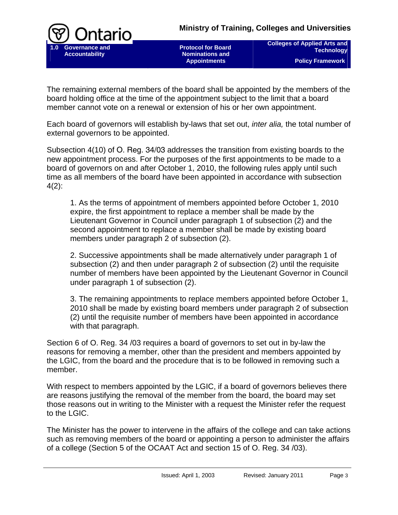

 **Protocol for Board Nominations and Appointments** 

**Colleges of Applied Arts and Technology Policy Framework** 

The remaining external members of the board shall be appointed by the members of the board holding office at the time of the appointment subject to the limit that a board member cannot vote on a renewal or extension of his or her own appointment.

Each board of governors will establish by-laws that set out, *inter alia,* the total number of external governors to be appointed.

Subsection 4(10) of [O. Reg. 34/03](http://www.e-laws.gov.on.ca/DBLaws/Regs/English/030034_e.htm) addresses the transition from existing boards to the new appointment process. For the purposes of the first appointments to be made to a board of governors on and after October 1, 2010, the following rules apply until such time as all members of the board have been appointed in accordance with subsection 4(2):

1. As the terms of appointment of members appointed before October 1, 2010 expire, the first appointment to replace a member shall be made by the Lieutenant Governor in Council under paragraph 1 of subsection (2) and the second appointment to replace a member shall be made by existing board members under paragraph 2 of subsection (2).

2. Successive appointments shall be made alternatively under paragraph 1 of subsection (2) and then under paragraph 2 of subsection (2) until the requisite number of members have been appointed by the Lieutenant Governor in Council under paragraph 1 of subsection (2).

3. The remaining appointments to replace members appointed before October 1, 2010 shall be made by existing board members under paragraph 2 of subsection (2) until the requisite number of members have been appointed in accordance with that paragraph.

Section 6 of O. Reg. 34 /03 requires a board of governors to set out in by-law the reasons for removing a member, other than the president and members appointed by the LGIC, from the board and the procedure that is to be followed in removing such a member.

With respect to members appointed by the LGIC, if a board of governors believes there are reasons justifying the removal of the member from the board, the board may set those reasons out in writing to the Minister with a request the Minister refer the request to the LGIC.

The Minister has the power to intervene in the affairs of the college and can take actions such as removing members of the board or appointing a person to administer the affairs of a college (Section 5 of the OCAAT Act and section 15 of O. Reg. 34 /03).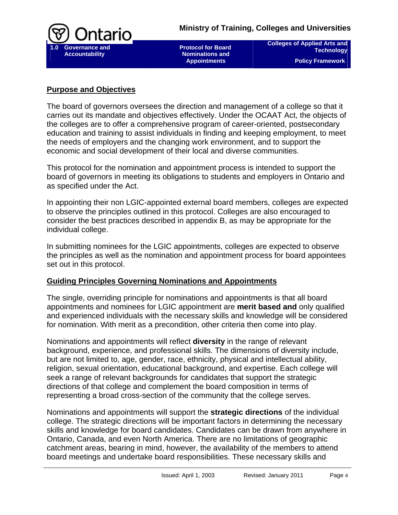

**Colleges of Applied Arts and Technology Policy Framework** 

## **Purpose and Objectives**

The board of governors oversees the direction and management of a college so that it carries out its mandate and objectives effectively. Under the OCAAT Act, the objects of the colleges are to offer a comprehensive program of career-oriented, postsecondary education and training to assist individuals in finding and keeping employment, to meet the needs of employers and the changing work environment, and to support the economic and social development of their local and diverse communities.

This protocol for the nomination and appointment process is intended to support the board of governors in meeting its obligations to students and employers in Ontario and as specified under the Act.

In appointing their non LGIC-appointed external board members, colleges are expected to observe the principles outlined in this protocol. Colleges are also encouraged to consider the best practices described in appendix B, as may be appropriate for the individual college.

In submitting nominees for the LGIC appointments, colleges are expected to observe the principles as well as the nomination and appointment process for board appointees set out in this protocol.

## **Guiding Principles Governing Nominations and Appointments**

The single, overriding principle for nominations and appointments is that all board appointments and nominees for LGIC appointment are **merit based and** only qualified and experienced individuals with the necessary skills and knowledge will be considered for nomination. With merit as a precondition, other criteria then come into play.

Nominations and appointments will reflect **diversity** in the range of relevant background, experience, and professional skills. The dimensions of diversity include, but are not limited to, age, gender, race, ethnicity, physical and intellectual ability, religion, sexual orientation, educational background, and expertise. Each college will seek a range of relevant backgrounds for candidates that support the strategic directions of that college and complement the board composition in terms of representing a broad cross-section of the community that the college serves.

Nominations and appointments will support the **strategic directions** of the individual college. The strategic directions will be important factors in determining the necessary skills and knowledge for board candidates. Candidates can be drawn from anywhere in Ontario, Canada, and even North America. There are no limitations of geographic catchment areas, bearing in mind, however, the availability of the members to attend board meetings and undertake board responsibilities. These necessary skills and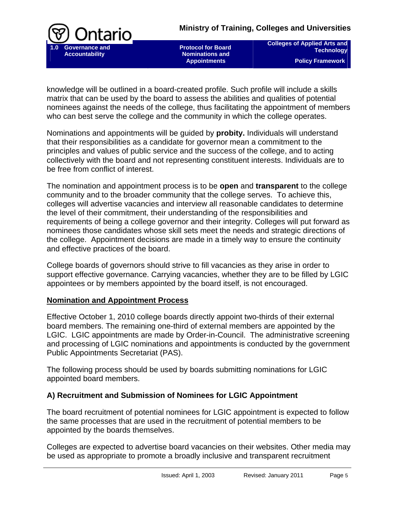

 **Protocol for Board Nominations and Appointments** 

**Colleges of Applied Arts and Technology Policy Framework** 

knowledge will be outlined in a board-created profile. Such profile will include a skills matrix that can be used by the board to assess the abilities and qualities of potential nominees against the needs of the college, thus facilitating the appointment of members who can best serve the college and the community in which the college operates.

Nominations and appointments will be guided by **probity.** Individuals will understand that their responsibilities as a candidate for governor mean a commitment to the principles and values of public service and the success of the college, and to acting collectively with the board and not representing constituent interests. Individuals are to be free from conflict of interest.

The nomination and appointment process is to be **open** and **transparent** to the college community and to the broader community that the college serves. To achieve this, colleges will advertise vacancies and interview all reasonable candidates to determine the level of their commitment, their understanding of the responsibilities and requirements of being a college governor and their integrity. Colleges will put forward as nominees those candidates whose skill sets meet the needs and strategic directions of the college. Appointment decisions are made in a timely way to ensure the continuity and effective practices of the board.

College boards of governors should strive to fill vacancies as they arise in order to support effective governance. Carrying vacancies, whether they are to be filled by LGIC appointees or by members appointed by the board itself, is not encouraged.

#### **Nomination and Appointment Process**

Effective October 1, 2010 college boards directly appoint two-thirds of their external board members. The remaining one-third of external members are appointed by the LGIC. LGIC appointments are made by Order-in-Council. The administrative screening and processing of LGIC nominations and appointments is conducted by the government Public Appointments Secretariat (PAS).

The following process should be used by boards submitting nominations for LGIC appointed board members.

## **A) Recruitment and Submission of Nominees for LGIC Appointment**

The board recruitment of potential nominees for LGIC appointment is expected to follow the same processes that are used in the recruitment of potential members to be appointed by the boards themselves.

Colleges are expected to advertise board vacancies on their websites. Other media may be used as appropriate to promote a broadly inclusive and transparent recruitment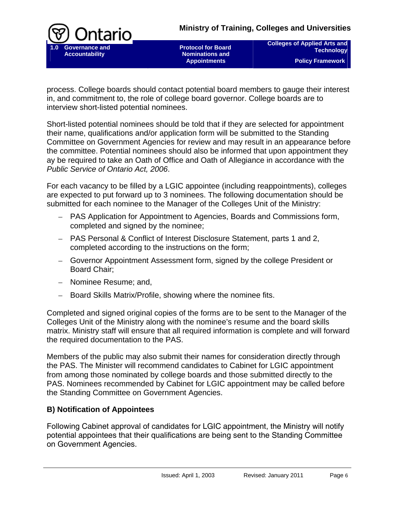

 **Protocol for Board Nominations and Appointments** 

**Colleges of Applied Arts and Technology Policy Framework** 

process. College boards should contact potential board members to gauge their interest in, and commitment to, the role of college board governor. College boards are to interview short-listed potential nominees.

Short-listed potential nominees should be told that if they are selected for appointment their name, qualifications and/or application form will be submitted to the Standing Committee on Government Agencies for review and may result in an appearance before the committee. Potential nominees should also be informed that upon appointment they ay be required to take an Oath of Office and Oath of Allegiance in accordance with the *Public Service of Ontario Act, 2006*.

For each vacancy to be filled by a LGIC appointee (including reappointments), colleges are expected to put forward up to 3 nominees. The following documentation should be submitted for each nominee to the Manager of the Colleges Unit of the Ministry:

- PAS Application for Appointment to Agencies, Boards and Commissions form, completed and signed by the nominee;
- PAS Personal & Conflict of Interest Disclosure Statement, parts 1 and 2, completed according to the instructions on the form;
- Governor Appointment Assessment form, signed by the college President or Board Chair;
- Nominee Resume; and,
- Board Skills Matrix/Profile, showing where the nominee fits.

Completed and signed original copies of the forms are to be sent to the Manager of the Colleges Unit of the Ministry along with the nominee's resume and the board skills matrix. Ministry staff will ensure that all required information is complete and will forward the required documentation to the PAS.

Members of the public may also submit their names for consideration directly through the PAS. The Minister will recommend candidates to Cabinet for LGIC appointment from among those nominated by college boards and those submitted directly to the PAS. Nominees recommended by Cabinet for LGIC appointment may be called before the Standing Committee on Government Agencies.

## **B) Notification of Appointees**

Following Cabinet approval of candidates for LGIC appointment, the Ministry will notify potential appointees that their qualifications are being sent to the Standing Committee on Government Agencies.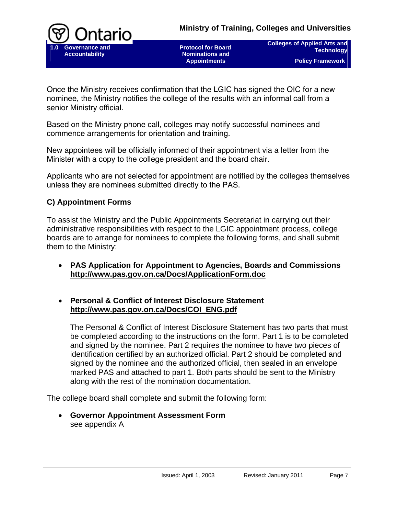

 **Protocol for Board Nominations and Appointments** 

**Colleges of Applied Arts and Technology Policy Framework** 

Once the Ministry receives confirmation that the LGIC has signed the OIC for a new nominee, the Ministry notifies the college of the results with an informal call from a senior Ministry official.

Based on the Ministry phone call, colleges may notify successful nominees and commence arrangements for orientation and training.

New appointees will be officially informed of their appointment via a letter from the Minister with a copy to the college president and the board chair.

Applicants who are not selected for appointment are notified by the colleges themselves unless they are nominees submitted directly to the PAS.

## **C) Appointment Forms**

To assist the Ministry and the Public Appointments Secretariat in carrying out their administrative responsibilities with respect to the LGIC appointment process, college boards are to arrange for nominees to complete the following forms, and shall submit them to the Ministry:

- **PAS Application for Appointment to Agencies, Boards and Commissions <http://www.pas.gov.on.ca/Docs/ApplicationForm.doc>**
- **Personal & Conflict of Interest Disclosure Statement [http://www.pas.gov.on.ca/Docs/COI\\_ENG.pdf](http://www.pas.gov.on.ca/Docs/COI_ENG.pdf)**

The Personal & Conflict of Interest Disclosure Statement has two parts that must be completed according to the instructions on the form. Part 1 is to be completed and signed by the nominee. Part 2 requires the nominee to have two pieces of identification certified by an authorized official. Part 2 should be completed and signed by the nominee and the authorized official, then sealed in an envelope marked PAS and attached to part 1. Both parts should be sent to the Ministry along with the rest of the nomination documentation.

The college board shall complete and submit the following form:

• **Governor Appointment Assessment Form**  see appendix A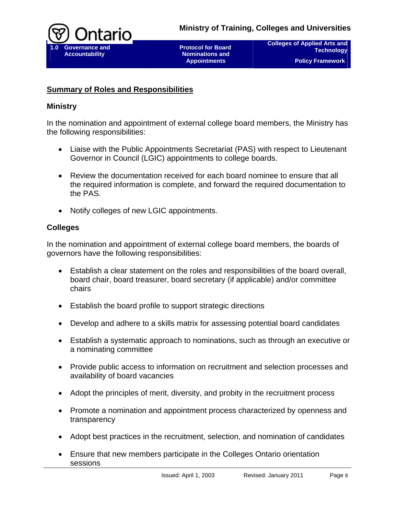

**Colleges of Applied Arts and Technology Policy Framework** 

## **Summary of Roles and Responsibilities**

## **Ministry**

In the nomination and appointment of external college board members, the Ministry has the following responsibilities:

- Liaise with the Public Appointments Secretariat (PAS) with respect to Lieutenant Governor in Council (LGIC) appointments to college boards.
- Review the documentation received for each board nominee to ensure that all the required information is complete, and forward the required documentation to the PAS.
- Notify colleges of new LGIC appointments.

## **Colleges**

In the nomination and appointment of external college board members, the boards of governors have the following responsibilities:

- Establish a clear statement on the roles and responsibilities of the board overall, board chair, board treasurer, board secretary (if applicable) and/or committee chairs
- Establish the board profile to support strategic directions
- Develop and adhere to a skills matrix for assessing potential board candidates
- Establish a systematic approach to nominations, such as through an executive or a nominating committee
- Provide public access to information on recruitment and selection processes and availability of board vacancies
- Adopt the principles of merit, diversity, and probity in the recruitment process
- Promote a nomination and appointment process characterized by openness and transparency
- Adopt best practices in the recruitment, selection, and nomination of candidates
- Ensure that new members participate in the Colleges Ontario orientation sessions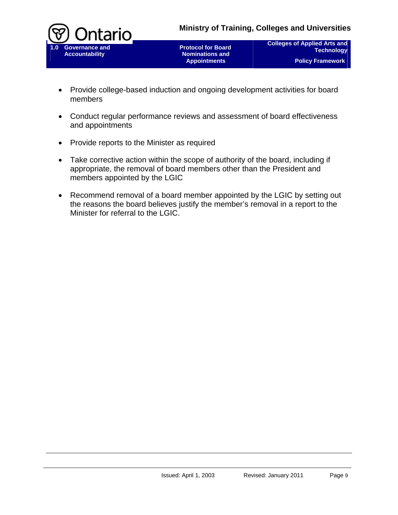

**Colleges of Applied Arts and Technology Policy Framework** 

- Provide college-based induction and ongoing development activities for board members
- Conduct regular performance reviews and assessment of board effectiveness and appointments
- Provide reports to the Minister as required
- Take corrective action within the scope of authority of the board, including if appropriate, the removal of board members other than the President and members appointed by the LGIC
- Recommend removal of a board member appointed by the LGIC by setting out the reasons the board believes justify the member's removal in a report to the Minister for referral to the LGIC.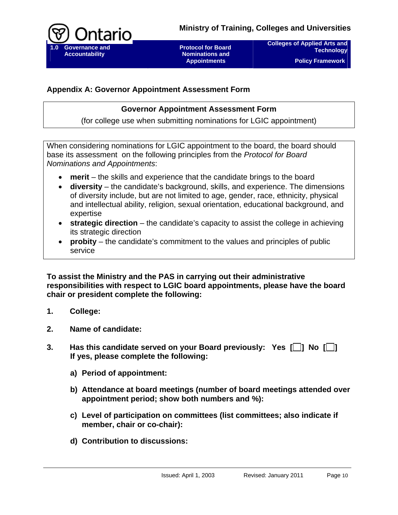

**Colleges of Applied Arts and Technology Policy Framework** 

## **Appendix A: Governor Appointment Assessment Form**

## **Governor Appointment Assessment Form**

(for college use when submitting nominations for LGIC appointment)

When considering nominations for LGIC appointment to the board, the board should base its assessment on the following principles from the *Protocol for Board Nominations and Appointments*:

- **merit** the skills and experience that the candidate brings to the board
- **diversity** the candidate's background, skills, and experience. The dimensions of diversity include, but are not limited to age, gender, race, ethnicity, physical and intellectual ability, religion, sexual orientation, educational background, and expertise
- **strategic direction** the candidate's capacity to assist the college in achieving its strategic direction
- **probity** the candidate's commitment to the values and principles of public service

**To assist the Ministry and the PAS in carrying out their administrative responsibilities with respect to LGIC board appointments, please have the board chair or president complete the following:** 

- **1. College:**
- **2. Name of candidate:**
- **3. Has this candidate served on your Board previously: Yes [ ] No [ ] If yes, please complete the following:** 
	- **a) Period of appointment:**
	- **b) Attendance at board meetings (number of board meetings attended over appointment period; show both numbers and %):**
	- **c) Level of participation on committees (list committees; also indicate if member, chair or co-chair):**
	- **d) Contribution to discussions:**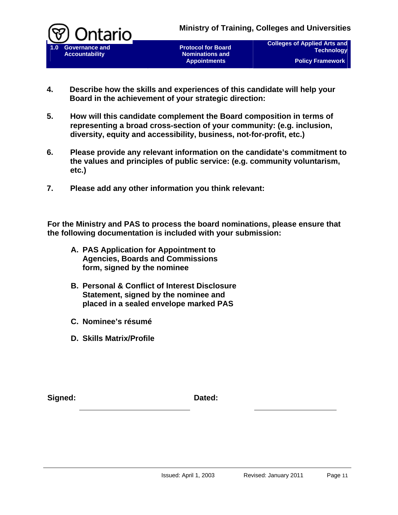



**Colleges of Applied Arts and Technology Policy Framework** 

- **4. Describe how the skills and experiences of this candidate will help your Board in the achievement of your strategic direction:**
- **5. How will this candidate complement the Board composition in terms of representing a broad cross-section of your community: (e.g. inclusion, diversity, equity and accessibility, business, not-for-profit, etc.)**
- **6. Please provide any relevant information on the candidate's commitment to the values and principles of public service: (e.g. community voluntarism, etc.)**
- **7. Please add any other information you think relevant:**

**For the Ministry and PAS to process the board nominations, please ensure that the following documentation is included with your submission:** 

- **A. PAS Application for Appointment to Agencies, Boards and Commissions form, signed by the nominee**
- **B. Personal & Conflict of Interest Disclosure Statement, signed by the nominee and placed in a sealed envelope marked PAS**
- **C. Nominee's résumé**
- **D. Skills Matrix/Profile**

Signed: **Dated: Dated: Dated:**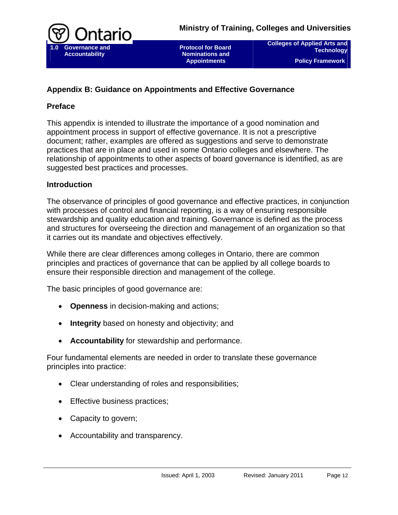

**Colleges of Applied Arts and Technology Policy Framework** 

## **Appendix B: Guidance on Appointments and Effective Governance**

## **Preface**

This appendix is intended to illustrate the importance of a good nomination and appointment process in support of effective governance. It is not a prescriptive document; rather, examples are offered as suggestions and serve to demonstrate practices that are in place and used in some Ontario colleges and elsewhere. The relationship of appointments to other aspects of board governance is identified, as are suggested best practices and processes.

## **Introduction**

The observance of principles of good governance and effective practices, in conjunction with processes of control and financial reporting, is a way of ensuring responsible stewardship and quality education and training. Governance is defined as the process and structures for overseeing the direction and management of an organization so that it carries out its mandate and objectives effectively.

While there are clear differences among colleges in Ontario, there are common principles and practices of governance that can be applied by all college boards to ensure their responsible direction and management of the college.

The basic principles of good governance are:

- **Openness** in decision-making and actions;
- **Integrity** based on honesty and objectivity; and
- **Accountability** for stewardship and performance.

Four fundamental elements are needed in order to translate these governance principles into practice:

- Clear understanding of roles and responsibilities;
- Effective business practices;
- Capacity to govern;
- Accountability and transparency.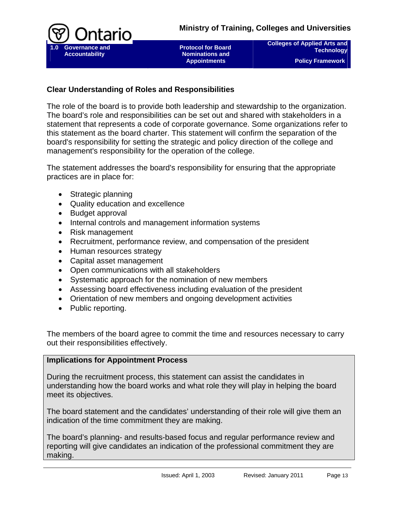

**Colleges of Applied Arts and Technology Policy Framework** 

## **Clear Understanding of Roles and Responsibilities**

The role of the board is to provide both leadership and stewardship to the organization. The board's role and responsibilities can be set out and shared with stakeholders in a statement that represents a code of corporate governance. Some organizations refer to this statement as the board charter. This statement will confirm the separation of the board's responsibility for setting the strategic and policy direction of the college and management's responsibility for the operation of the college.

The statement addresses the board's responsibility for ensuring that the appropriate practices are in place for:

- Strategic planning
- Quality education and excellence
- Budget approval
- Internal controls and management information systems
- Risk management
- Recruitment, performance review, and compensation of the president
- Human resources strategy
- Capital asset management
- Open communications with all stakeholders
- Systematic approach for the nomination of new members
- Assessing board effectiveness including evaluation of the president
- Orientation of new members and ongoing development activities
- Public reporting.

The members of the board agree to commit the time and resources necessary to carry out their responsibilities effectively.

#### **Implications for Appointment Process**

During the recruitment process, this statement can assist the candidates in understanding how the board works and what role they will play in helping the board meet its objectives.

The board statement and the candidates' understanding of their role will give them an indication of the time commitment they are making.

The board's planning- and results-based focus and regular performance review and reporting will give candidates an indication of the professional commitment they are making.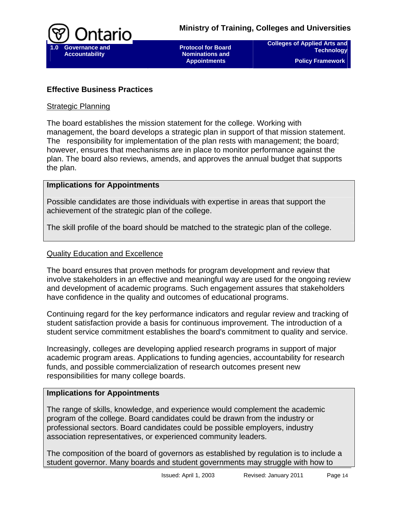

**Colleges of Applied Arts and Technology Policy Framework** 

## **Effective Business Practices**

#### Strategic Planning

The board establishes the mission statement for the college. Working with management, the board develops a strategic plan in support of that mission statement. The responsibility for implementation of the plan rests with management; the board; however, ensures that mechanisms are in place to monitor performance against the plan. The board also reviews, amends, and approves the annual budget that supports the plan.

#### **Implications for Appointments**

Possible candidates are those individuals with expertise in areas that support the achievement of the strategic plan of the college.

The skill profile of the board should be matched to the strategic plan of the college.

#### Quality Education and Excellence

The board ensures that proven methods for program development and review that involve stakeholders in an effective and meaningful way are used for the ongoing review and development of academic programs. Such engagement assures that stakeholders have confidence in the quality and outcomes of educational programs.

Continuing regard for the key performance indicators and regular review and tracking of student satisfaction provide a basis for continuous improvement. The introduction of a student service commitment establishes the board's commitment to quality and service.

Increasingly, colleges are developing applied research programs in support of major academic program areas. Applications to funding agencies, accountability for research funds, and possible commercialization of research outcomes present new responsibilities for many college boards.

#### **Implications for Appointments**

The range of skills, knowledge, and experience would complement the academic program of the college. Board candidates could be drawn from the industry or professional sectors. Board candidates could be possible employers, industry association representatives, or experienced community leaders.

The composition of the board of governors as established by regulation is to include a student governor. Many boards and student governments may struggle with how to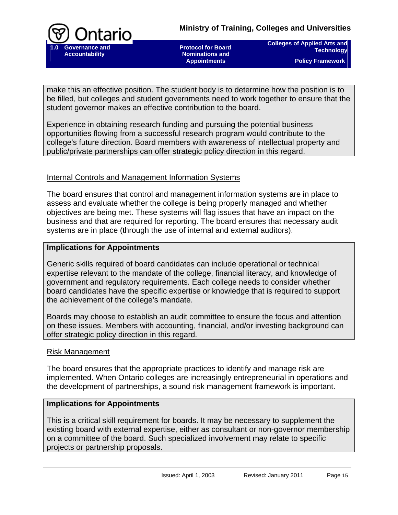

 **Protocol for Board Nominations and Appointments** 

**Colleges of Applied Arts and Technology Policy Framework** 

make this an effective position. The student body is to determine how the position is to be filled, but colleges and student governments need to work together to ensure that the student governor makes an effective contribution to the board.

Experience in obtaining research funding and pursuing the potential business opportunities flowing from a successful research program would contribute to the college's future direction. Board members with awareness of intellectual property and public/private partnerships can offer strategic policy direction in this regard.

## Internal Controls and Management Information Systems

The board ensures that control and management information systems are in place to assess and evaluate whether the college is being properly managed and whether objectives are being met. These systems will flag issues that have an impact on the business and that are required for reporting. The board ensures that necessary audit systems are in place (through the use of internal and external auditors).

#### **Implications for Appointments**

Generic skills required of board candidates can include operational or technical expertise relevant to the mandate of the college, financial literacy, and knowledge of government and regulatory requirements. Each college needs to consider whether board candidates have the specific expertise or knowledge that is required to support the achievement of the college's mandate.

Boards may choose to establish an audit committee to ensure the focus and attention on these issues. Members with accounting, financial, and/or investing background can offer strategic policy direction in this regard.

#### Risk Management

The board ensures that the appropriate practices to identify and manage risk are implemented. When Ontario colleges are increasingly entrepreneurial in operations and the development of partnerships, a sound risk management framework is important.

#### **Implications for Appointments**

This is a critical skill requirement for boards. It may be necessary to supplement the existing board with external expertise, either as consultant or non-governor membership on a committee of the board. Such specialized involvement may relate to specific projects or partnership proposals.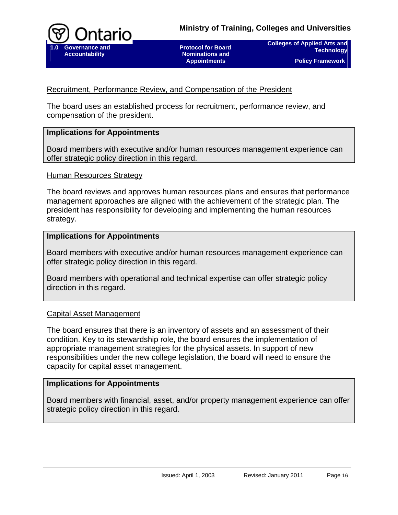

**Colleges of Applied Arts and Technology Policy Framework** 

## Recruitment, Performance Review, and Compensation of the President

The board uses an established process for recruitment, performance review, and compensation of the president.

## **Implications for Appointments**

Board members with executive and/or human resources management experience can offer strategic policy direction in this regard.

#### Human Resources Strategy

The board reviews and approves human resources plans and ensures that performance management approaches are aligned with the achievement of the strategic plan. The president has responsibility for developing and implementing the human resources strategy.

#### **Implications for Appointments**

Board members with executive and/or human resources management experience can offer strategic policy direction in this regard.

Board members with operational and technical expertise can offer strategic policy direction in this regard.

#### Capital Asset Management

The board ensures that there is an inventory of assets and an assessment of their condition. Key to its stewardship role, the board ensures the implementation of appropriate management strategies for the physical assets. In support of new responsibilities under the new college legislation, the board will need to ensure the capacity for capital asset management.

#### **Implications for Appointments**

Board members with financial, asset, and/or property management experience can offer strategic policy direction in this regard.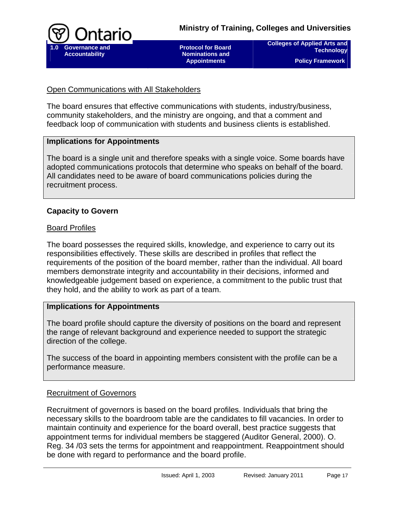

**Colleges of Applied Arts and Technology Policy Framework** 

### Open Communications with All Stakeholders

The board ensures that effective communications with students, industry/business, community stakeholders, and the ministry are ongoing, and that a comment and feedback loop of communication with students and business clients is established.

## **Implications for Appointments**

The board is a single unit and therefore speaks with a single voice. Some boards have adopted communications protocols that determine who speaks on behalf of the board. All candidates need to be aware of board communications policies during the recruitment process.

## **Capacity to Govern**

## Board Profiles

The board possesses the required skills, knowledge, and experience to carry out its responsibilities effectively. These skills are described in profiles that reflect the requirements of the position of the board member, rather than the individual. All board members demonstrate integrity and accountability in their decisions, informed and knowledgeable judgement based on experience, a commitment to the public trust that they hold, and the ability to work as part of a team.

#### **Implications for Appointments**

The board profile should capture the diversity of positions on the board and represent the range of relevant background and experience needed to support the strategic direction of the college.

The success of the board in appointing members consistent with the profile can be a performance measure.

## Recruitment of Governors

Recruitment of governors is based on the board profiles. Individuals that bring the necessary skills to the boardroom table are the candidates to fill vacancies. In order to maintain continuity and experience for the board overall, best practice suggests that appointment terms for individual members be staggered (Auditor General, 2000). O. Reg. 34 /03 sets the terms for appointment and reappointment. Reappointment should be done with regard to performance and the board profile.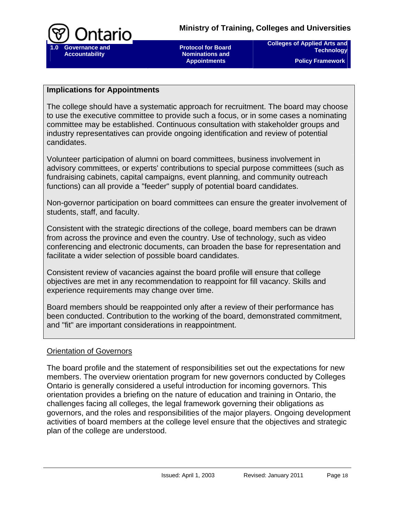

**Colleges of Applied Arts and Technology Policy Framework** 

### **Implications for Appointments**

The college should have a systematic approach for recruitment. The board may choose to use the executive committee to provide such a focus, or in some cases a nominating committee may be established. Continuous consultation with stakeholder groups and industry representatives can provide ongoing identification and review of potential candidates.

Volunteer participation of alumni on board committees, business involvement in advisory committees, or experts' contributions to special purpose committees (such as fundraising cabinets, capital campaigns, event planning, and community outreach functions) can all provide a "feeder" supply of potential board candidates.

Non-governor participation on board committees can ensure the greater involvement of students, staff, and faculty.

Consistent with the strategic directions of the college, board members can be drawn from across the province and even the country. Use of technology, such as video conferencing and electronic documents, can broaden the base for representation and facilitate a wider selection of possible board candidates.

Consistent review of vacancies against the board profile will ensure that college objectives are met in any recommendation to reappoint for fill vacancy. Skills and experience requirements may change over time.

Board members should be reappointed only after a review of their performance has been conducted. Contribution to the working of the board, demonstrated commitment, and "fit" are important considerations in reappointment.

#### Orientation of Governors

The board profile and the statement of responsibilities set out the expectations for new members. The overview orientation program for new governors conducted by Colleges Ontario is generally considered a useful introduction for incoming governors. This orientation provides a briefing on the nature of education and training in Ontario, the challenges facing all colleges, the legal framework governing their obligations as governors, and the roles and responsibilities of the major players. Ongoing development activities of board members at the college level ensure that the objectives and strategic plan of the college are understood.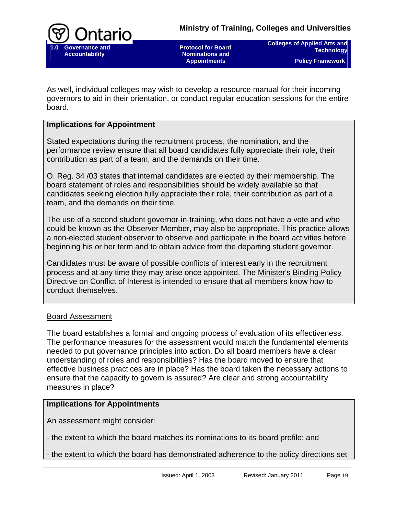

**Colleges of Applied Arts and Technology Policy Framework** 

As well, individual colleges may wish to develop a resource manual for their incoming governors to aid in their orientation, or conduct regular education sessions for the entire board.

## **Implications for Appointment**

Stated expectations during the recruitment process, the nomination, and the performance review ensure that all board candidates fully appreciate their role, their contribution as part of a team, and the demands on their time.

O. Reg. 34 /03 states that internal candidates are elected by their membership. The board statement of roles and responsibilities should be widely available so that candidates seeking election fully appreciate their role, their contribution as part of a team, and the demands on their time.

The use of a second student governor-in-training, who does not have a vote and who could be known as the Observer Member, may also be appropriate. This practice allows a non-elected student observer to observe and participate in the board activities before beginning his or her term and to obtain advice from the departing student governor.

Candidates must be aware of possible conflicts of interest early in the recruitment process and at any time they may arise once appointed. The [Minister's Binding Policy](http://policyframework/ConflictofInterestDirective.pdf)  [Directive on Conflict of Interest](http://policyframework/ConflictofInterestDirective.pdf) is intended to ensure that all members know how to conduct themselves.

#### Board Assessment

The board establishes a formal and ongoing process of evaluation of its effectiveness. The performance measures for the assessment would match the fundamental elements needed to put governance principles into action. Do all board members have a clear understanding of roles and responsibilities? Has the board moved to ensure that effective business practices are in place? Has the board taken the necessary actions to ensure that the capacity to govern is assured? Are clear and strong accountability measures in place?

#### **Implications for Appointments**

An assessment might consider:

- the extent to which the board matches its nominations to its board profile; and

- the extent to which the board has demonstrated adherence to the policy directions set